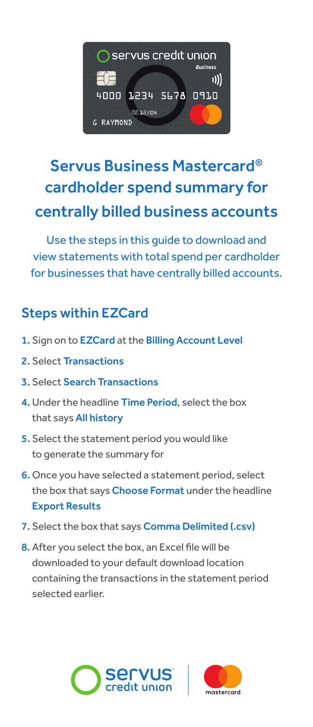

## Servus Business Mastercard® cardholder spend summary for centrally billed business accounts

Use the steps in this guide to download and view statements with total spend per cardholder for businesses that have centrally billed accounts.

## Steps within EZCard

- 1. Sign on to EZCard at the Billing Account Level
- 2. Select Transactions
- 3. Select Search Transactions
- 4. Under the headline Time Period, select the box that says All history
- 5. Select the statement period you would like to generate the summary for
- 6. Once you have selected a statement period, select the box that says Choose Format under the headline Export Results
- 7. Select the box that says Comma Delimited (.csv)
- 8. After you select the box, an Excel file will be downloaded to your default download location containing the transactions in the statement period selected earlier.